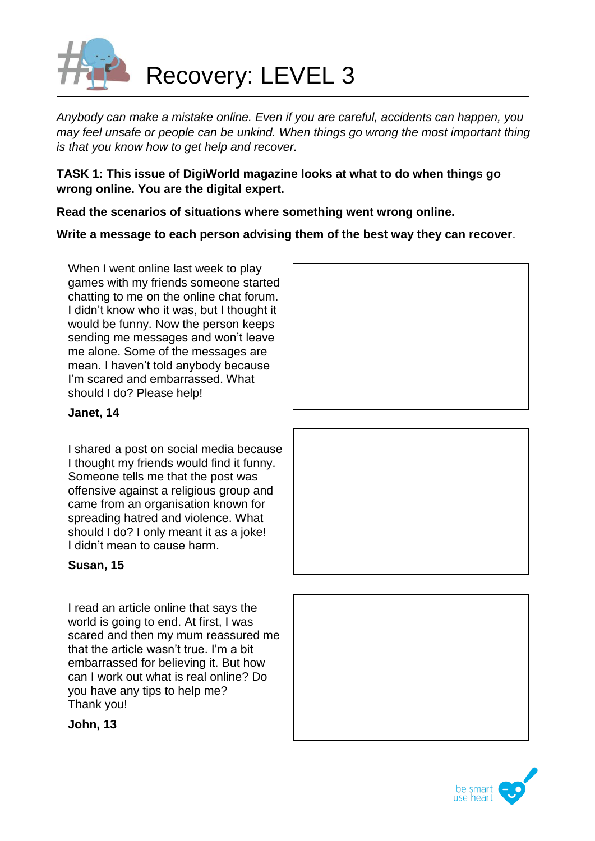

*Anybody can make a mistake online. Even if you are careful, accidents can happen, you may feel unsafe or people can be unkind. When things go wrong the most important thing is that you know how to get help and recover.*

**TASK 1: This issue of DigiWorld magazine looks at what to do when things go wrong online. You are the digital expert.**

**Read the scenarios of situations where something went wrong online.** 

**Write a message to each person advising them of the best way they can recover**.

When I went online last week to play games with my friends someone started chatting to me on the online chat forum. I didn't know who it was, but I thought it would be funny. Now the person keeps sending me messages and won't leave me alone. Some of the messages are mean. I haven't told anybody because I'm scared and embarrassed. What should I do? Please help!



## **Janet, 14**

I shared a post on social media because I thought my friends would find it funny. Someone tells me that the post was offensive against a religious group and came from an organisation known for spreading hatred and violence. What should I do? I only meant it as a joke! I didn't mean to cause harm.

## **Susan, 15**

I read an article online that says the world is going to end. At first, I was scared and then my mum reassured me that the article wasn't true. I'm a bit embarrassed for believing it. But how can I work out what is real online? Do you have any tips to help me? Thank you!